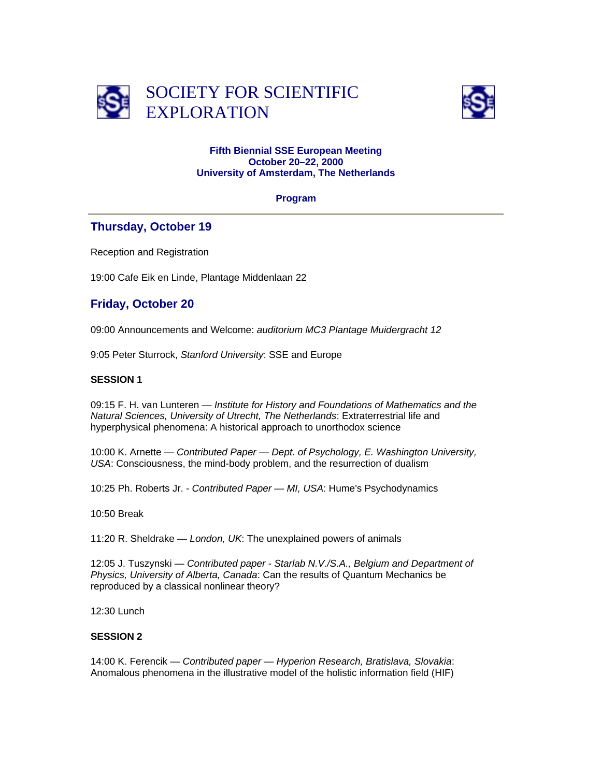



#### **Fifth Biennial SSE European Meeting October 20–22, 2000 University of Amsterdam, The Netherlands**

#### **Program**

### **Thursday, October 19**

Reception and Registration

19:00 Cafe Eik en Linde, Plantage Middenlaan 22

## **Friday, October 20**

09:00 Announcements and Welcome: *auditorium MC3 Plantage Muidergracht 12*

9:05 Peter Sturrock, *Stanford University*: SSE and Europe

### **SESSION 1**

09:15 F. H. van Lunteren — *Institute for History and Foundations of Mathematics and the Natural Sciences, University of Utrecht, The Netherlands*: Extraterrestrial life and hyperphysical phenomena: A historical approach to unorthodox science

10:00 K. Arnette — *Contributed Paper — Dept. of Psychology, E. Washington University, USA*: Consciousness, the mind-body problem, and the resurrection of dualism

10:25 Ph. Roberts Jr. - *Contributed Paper — MI, USA*: Hume's Psychodynamics

10:50 Break

11:20 R. Sheldrake — *London, UK*: The unexplained powers of animals

12:05 J. Tuszynski — *Contributed paper - Starlab N.V./S.A., Belgium and Department of Physics, University of Alberta, Canada*: Can the results of Quantum Mechanics be reproduced by a classical nonlinear theory?

12:30 Lunch

### **SESSION 2**

14:00 K. Ferencik — *Contributed paper — Hyperion Research, Bratislava, Slovakia*: Anomalous phenomena in the illustrative model of the holistic information field (HIF)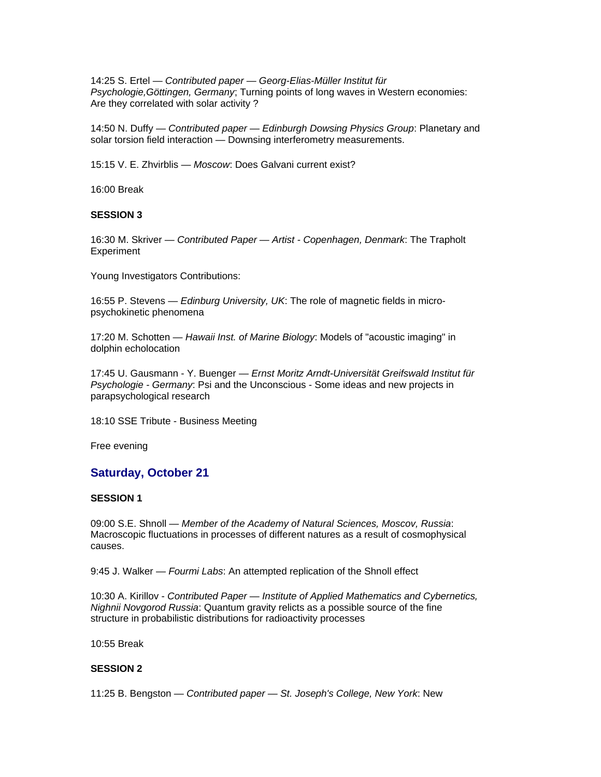14:25 S. Ertel — *Contributed paper — Georg-Elias-Müller Institut für Psychologie,Göttingen, Germany*; Turning points of long waves in Western economies: Are they correlated with solar activity ?

14:50 N. Duffy — *Contributed paper — Edinburgh Dowsing Physics Group*: Planetary and solar torsion field interaction — Downsing interferometry measurements.

15:15 V. E. Zhvirblis — *Moscow*: Does Galvani current exist?

16:00 Break

#### **SESSION 3**

16:30 M. Skriver — *Contributed Paper — Artist - Copenhagen, Denmark*: The Trapholt **Experiment** 

Young Investigators Contributions:

16:55 P. Stevens — *Edinburg University, UK*: The role of magnetic fields in micropsychokinetic phenomena

17:20 M. Schotten — *Hawaii Inst. of Marine Biology*: Models of "acoustic imaging" in dolphin echolocation

17:45 U. Gausmann - Y. Buenger — *Ernst Moritz Arndt-Universität Greifswald Institut für Psychologie - Germany*: Psi and the Unconscious - Some ideas and new projects in parapsychological research

18:10 SSE Tribute - Business Meeting

Free evening

#### **Saturday, October 21**

#### **SESSION 1**

09:00 S.E. Shnoll — *Member of the Academy of Natural Sciences, Moscov, Russia*: Macroscopic fluctuations in processes of different natures as a result of cosmophysical causes.

9:45 J. Walker — *Fourmi Labs*: An attempted replication of the Shnoll effect

10:30 A. Kirillov - *Contributed Paper — Institute of Applied Mathematics and Cybernetics, Nighnii Novgorod Russia*: Quantum gravity relicts as a possible source of the fine structure in probabilistic distributions for radioactivity processes

10:55 Break

### **SESSION 2**

11:25 B. Bengston — *Contributed paper — St. Joseph's College, New York*: New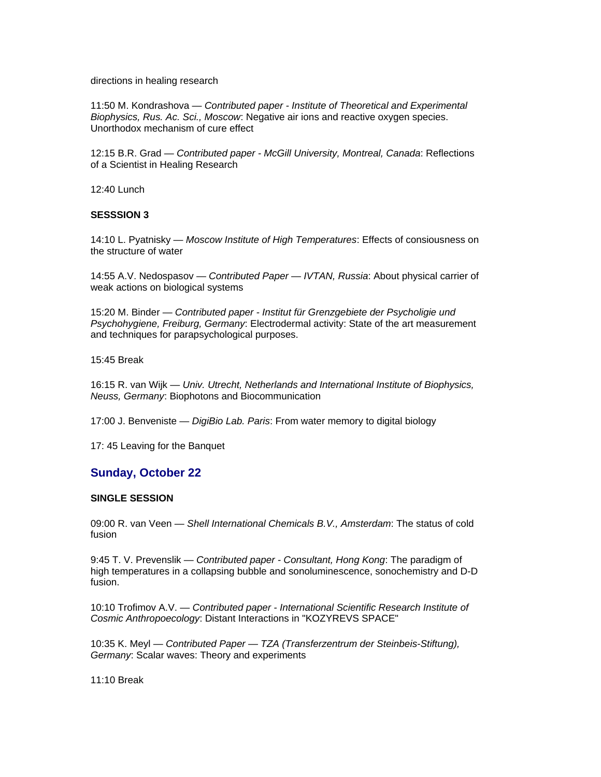directions in healing research

11:50 M. Kondrashova — *Contributed paper - Institute of Theoretical and Experimental Biophysics, Rus. Ac. Sci., Moscow*: Negative air ions and reactive oxygen species. Unorthodox mechanism of cure effect

12:15 B.R. Grad — *Contributed paper - McGill University, Montreal, Canada*: Reflections of a Scientist in Healing Research

12:40 Lunch

#### **SESSSION 3**

14:10 L. Pyatnisky — *Moscow Institute of High Temperatures*: Effects of consiousness on the structure of water

14:55 A.V. Nedospasov — *Contributed Paper — IVTAN, Russia*: About physical carrier of weak actions on biological systems

15:20 M. Binder — *Contributed paper - Institut für Grenzgebiete der Psycholigie und Psychohygiene, Freiburg, Germany*: Electrodermal activity: State of the art measurement and techniques for parapsychological purposes.

15:45 Break

16:15 R. van Wijk — *Univ. Utrecht, Netherlands and International Institute of Biophysics, Neuss, Germany*: Biophotons and Biocommunication

17:00 J. Benveniste — *DigiBio Lab. Paris*: From water memory to digital biology

17: 45 Leaving for the Banquet

### **Sunday, October 22**

#### **SINGLE SESSION**

09:00 R. van Veen — *Shell International Chemicals B.V., Amsterdam*: The status of cold fusion

9:45 T. V. Prevenslik — *Contributed paper - Consultant, Hong Kong*: The paradigm of high temperatures in a collapsing bubble and sonoluminescence, sonochemistry and D-D fusion.

10:10 Trofimov A.V. — *Contributed paper - International Scientific Research Institute of Cosmic Anthropoecology*: Distant Interactions in "KOZYREVS SPACE"

10:35 K. Meyl — *Contributed Paper — TZA (Transferzentrum der Steinbeis-Stiftung), Germany*: Scalar waves: Theory and experiments

11:10 Break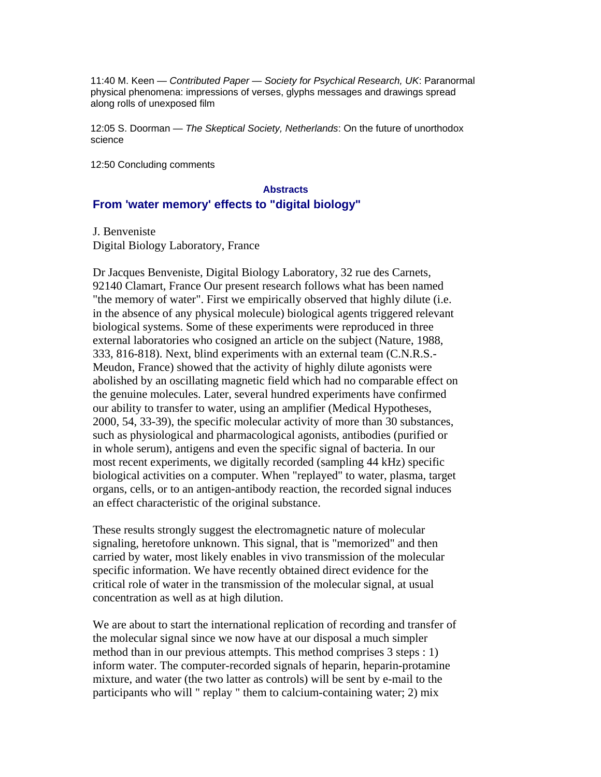11:40 M. Keen — *Contributed Paper — Society for Psychical Research, UK*: Paranormal physical phenomena: impressions of verses, glyphs messages and drawings spread along rolls of unexposed film

12:05 S. Doorman — *The Skeptical Society, Netherlands*: On the future of unorthodox science

12:50 Concluding comments

#### **Abstracts**

### **From 'water memory' effects to "digital biology"**

J. Benveniste Digital Biology Laboratory, France

Dr Jacques Benveniste, Digital Biology Laboratory, 32 rue des Carnets, 92140 Clamart, France Our present research follows what has been named "the memory of water". First we empirically observed that highly dilute (i.e. in the absence of any physical molecule) biological agents triggered relevant biological systems. Some of these experiments were reproduced in three external laboratories who cosigned an article on the subject (Nature, 1988, 333, 816-818). Next, blind experiments with an external team (C.N.R.S.- Meudon, France) showed that the activity of highly dilute agonists were abolished by an oscillating magnetic field which had no comparable effect on the genuine molecules. Later, several hundred experiments have confirmed our ability to transfer to water, using an amplifier (Medical Hypotheses, 2000, 54, 33-39), the specific molecular activity of more than 30 substances, such as physiological and pharmacological agonists, antibodies (purified or in whole serum), antigens and even the specific signal of bacteria. In our most recent experiments, we digitally recorded (sampling 44 kHz) specific biological activities on a computer. When "replayed" to water, plasma, target organs, cells, or to an antigen-antibody reaction, the recorded signal induces an effect characteristic of the original substance.

These results strongly suggest the electromagnetic nature of molecular signaling, heretofore unknown. This signal, that is "memorized" and then carried by water, most likely enables in vivo transmission of the molecular specific information. We have recently obtained direct evidence for the critical role of water in the transmission of the molecular signal, at usual concentration as well as at high dilution.

We are about to start the international replication of recording and transfer of the molecular signal since we now have at our disposal a much simpler method than in our previous attempts. This method comprises 3 steps : 1) inform water. The computer-recorded signals of heparin, heparin-protamine mixture, and water (the two latter as controls) will be sent by e-mail to the participants who will " replay " them to calcium-containing water; 2) mix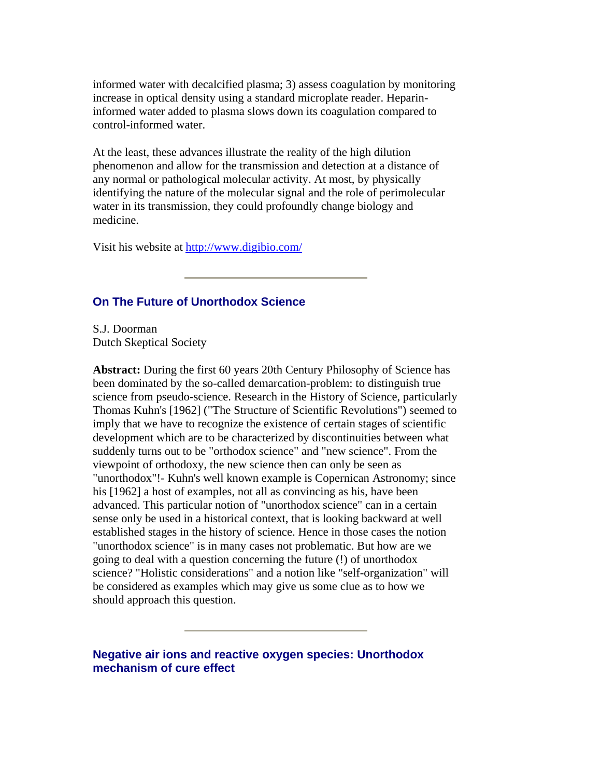informed water with decalcified plasma; 3) assess coagulation by monitoring increase in optical density using a standard microplate reader. Heparininformed water added to plasma slows down its coagulation compared to control-informed water.

At the least, these advances illustrate the reality of the high dilution phenomenon and allow for the transmission and detection at a distance of any normal or pathological molecular activity. At most, by physically identifying the nature of the molecular signal and the role of perimolecular water in its transmission, they could profoundly change biology and medicine.

Visit his website at<http://www.digibio.com/>

# **On The Future of Unorthodox Science**

S.J. Doorman Dutch Skeptical Society

**Abstract:** During the first 60 years 20th Century Philosophy of Science has been dominated by the so-called demarcation-problem: to distinguish true science from pseudo-science. Research in the History of Science, particularly Thomas Kuhn's [1962] ("The Structure of Scientific Revolutions") seemed to imply that we have to recognize the existence of certain stages of scientific development which are to be characterized by discontinuities between what suddenly turns out to be "orthodox science" and "new science". From the viewpoint of orthodoxy, the new science then can only be seen as "unorthodox"!- Kuhn's well known example is Copernican Astronomy; since his [1962] a host of examples, not all as convincing as his, have been advanced. This particular notion of "unorthodox science" can in a certain sense only be used in a historical context, that is looking backward at well established stages in the history of science. Hence in those cases the notion "unorthodox science" is in many cases not problematic. But how are we going to deal with a question concerning the future (!) of unorthodox science? "Holistic considerations" and a notion like "self-organization" will be considered as examples which may give us some clue as to how we should approach this question.

**Negative air ions and reactive oxygen species: Unorthodox mechanism of cure effect**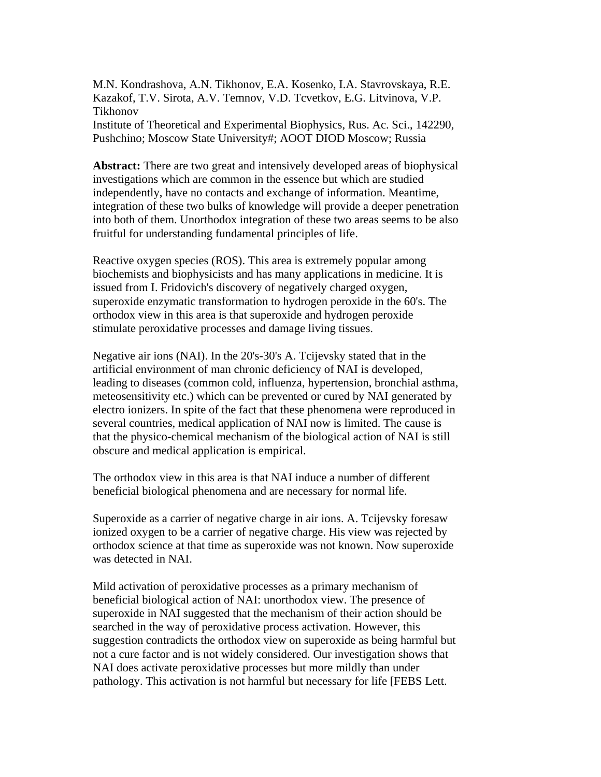M.N. Kondrashova, A.N. Tikhonov, E.A. Kosenko, I.A. Stavrovskaya, R.E. Kazakof, T.V. Sirota, A.V. Temnov, V.D. Tcvetkov, E.G. Litvinova, V.P. Tikhonov Institute of Theoretical and Experimental Biophysics, Rus. Ac. Sci., 142290, Pushchino; Moscow State University#; AOOT DIOD Moscow; Russia

**Abstract:** There are two great and intensively developed areas of biophysical investigations which are common in the essence but which are studied independently, have no contacts and exchange of information. Meantime, integration of these two bulks of knowledge will provide a deeper penetration into both of them. Unorthodox integration of these two areas seems to be also fruitful for understanding fundamental principles of life.

Reactive oxygen species (ROS). This area is extremely popular among biochemists and biophysicists and has many applications in medicine. It is issued from I. Fridovich's discovery of negatively charged oxygen, superoxide enzymatic transformation to hydrogen peroxide in the 60's. The orthodox view in this area is that superoxide and hydrogen peroxide stimulate peroxidative processes and damage living tissues.

Negative air ions (NAI). In the 20's-30's A. Tcijevsky stated that in the artificial environment of man chronic deficiency of NAI is developed, leading to diseases (common cold, influenza, hypertension, bronchial asthma, meteosensitivity etc.) which can be prevented or cured by NAI generated by electro ionizers. In spite of the fact that these phenomena were reproduced in several countries, medical application of NAI now is limited. The cause is that the physico-chemical mechanism of the biological action of NAI is still obscure and medical application is empirical.

The orthodox view in this area is that NAI induce a number of different beneficial biological phenomena and are necessary for normal life.

Superoxide as a carrier of negative charge in air ions. A. Tcijevsky foresaw ionized oxygen to be a carrier of negative charge. His view was rejected by orthodox science at that time as superoxide was not known. Now superoxide was detected in NAI.

Mild activation of peroxidative processes as a primary mechanism of beneficial biological action of NAI: unorthodox view. The presence of superoxide in NAI suggested that the mechanism of their action should be searched in the way of peroxidative process activation. However, this suggestion contradicts the orthodox view on superoxide as being harmful but not a cure factor and is not widely considered. Our investigation shows that NAI does activate peroxidative processes but more mildly than under pathology. This activation is not harmful but necessary for life [FEBS Lett.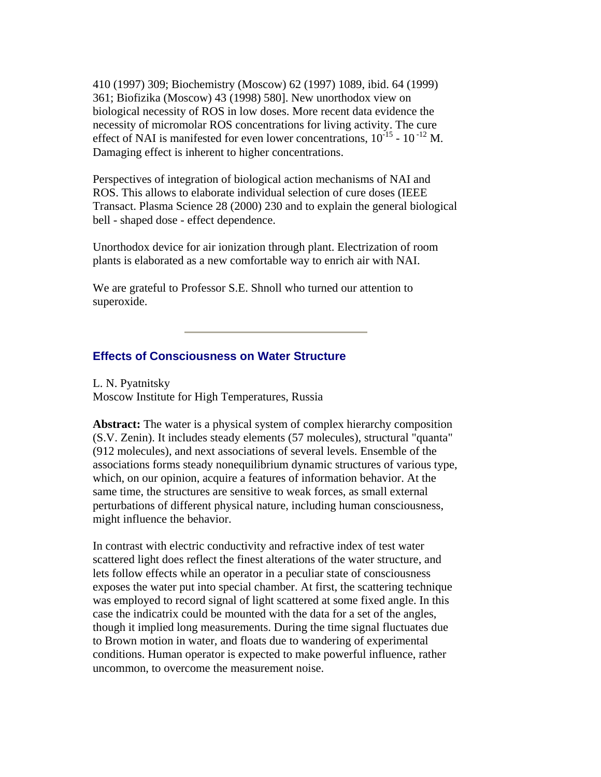410 (1997) 309; Biochemistry (Moscow) 62 (1997) 1089, ibid. 64 (1999) 361; Biofizika (Moscow) 43 (1998) 580]. New unorthodox view on biological necessity of ROS in low doses. More recent data evidence the necessity of micromolar ROS concentrations for living activity. The cure effect of NAI is manifested for even lower concentrations,  $10^{-15}$  -  $10^{-12}$  M. Damaging effect is inherent to higher concentrations.

Perspectives of integration of biological action mechanisms of NAI and ROS. This allows to elaborate individual selection of cure doses (IEEE Transact. Plasma Science 28 (2000) 230 and to explain the general biological bell - shaped dose - effect dependence.

Unorthodox device for air ionization through plant. Electrization of room plants is elaborated as a new comfortable way to enrich air with NAI.

We are grateful to Professor S.E. Shnoll who turned our attention to superoxide.

## **Effects of Consciousness on Water Structure**

L. N. Pyatnitsky Moscow Institute for High Temperatures, Russia

**Abstract:** The water is a physical system of complex hierarchy composition (S.V. Zenin). It includes steady elements (57 molecules), structural "quanta" (912 molecules), and next associations of several levels. Ensemble of the associations forms steady nonequilibrium dynamic structures of various type, which, on our opinion, acquire a features of information behavior. At the same time, the structures are sensitive to weak forces, as small external perturbations of different physical nature, including human consciousness, might influence the behavior.

In contrast with electric conductivity and refractive index of test water scattered light does reflect the finest alterations of the water structure, and lets follow effects while an operator in a peculiar state of consciousness exposes the water put into special chamber. At first, the scattering technique was employed to record signal of light scattered at some fixed angle. In this case the indicatrix could be mounted with the data for a set of the angles, though it implied long measurements. During the time signal fluctuates due to Brown motion in water, and floats due to wandering of experimental conditions. Human operator is expected to make powerful influence, rather uncommon, to overcome the measurement noise.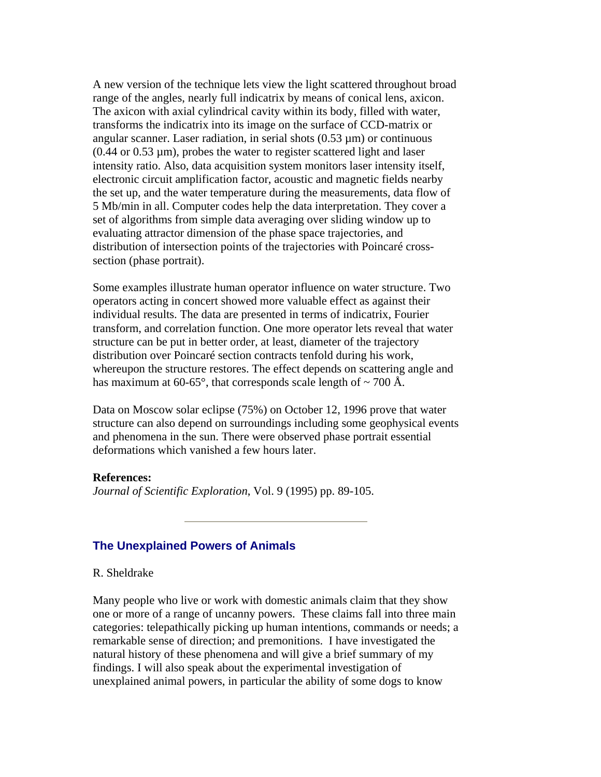A new version of the technique lets view the light scattered throughout broad range of the angles, nearly full indicatrix by means of conical lens, axicon. The axicon with axial cylindrical cavity within its body, filled with water, transforms the indicatrix into its image on the surface of CCD-matrix or angular scanner. Laser radiation, in serial shots  $(0.53 \,\mu m)$  or continuous  $(0.44 \text{ or } 0.53 \text{ um})$ , probes the water to register scattered light and laser intensity ratio. Also, data acquisition system monitors laser intensity itself, electronic circuit amplification factor, acoustic and magnetic fields nearby the set up, and the water temperature during the measurements, data flow of 5 Mb/min in all. Computer codes help the data interpretation. They cover a set of algorithms from simple data averaging over sliding window up to evaluating attractor dimension of the phase space trajectories, and distribution of intersection points of the trajectories with Poincaré crosssection (phase portrait).

Some examples illustrate human operator influence on water structure. Two operators acting in concert showed more valuable effect as against their individual results. The data are presented in terms of indicatrix, Fourier transform, and correlation function. One more operator lets reveal that water structure can be put in better order, at least, diameter of the trajectory distribution over Poincaré section contracts tenfold during his work, whereupon the structure restores. The effect depends on scattering angle and has maximum at 60-65 $^{\circ}$ , that corresponds scale length of  $\sim$  700 Å.

Data on Moscow solar eclipse (75%) on October 12, 1996 prove that water structure can also depend on surroundings including some geophysical events and phenomena in the sun. There were observed phase portrait essential deformations which vanished a few hours later.

### **References:**

*Journal of Scientific Exploration*, Vol. 9 (1995) pp. 89-105.

### **The Unexplained Powers of Animals**

### R. Sheldrake

Many people who live or work with domestic animals claim that they show one or more of a range of uncanny powers. These claims fall into three main categories: telepathically picking up human intentions, commands or needs; a remarkable sense of direction; and premonitions. I have investigated the natural history of these phenomena and will give a brief summary of my findings. I will also speak about the experimental investigation of unexplained animal powers, in particular the ability of some dogs to know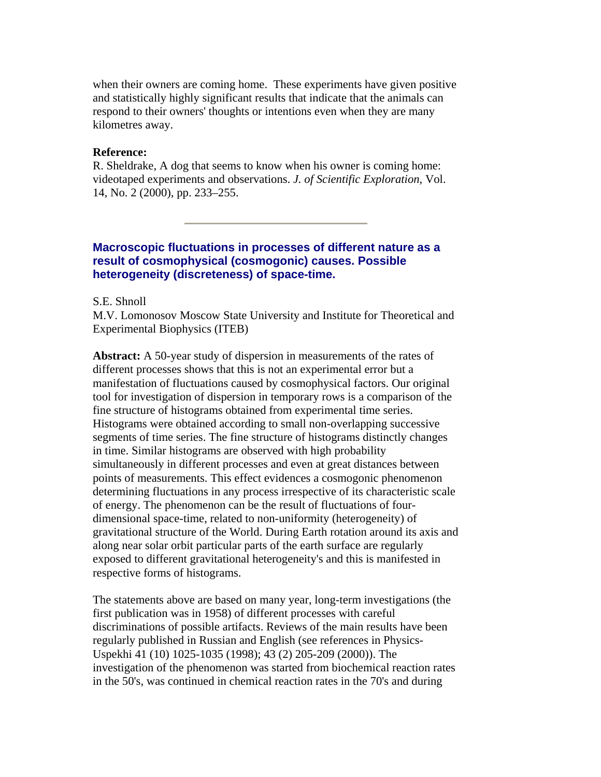when their owners are coming home. These experiments have given positive and statistically highly significant results that indicate that the animals can respond to their owners' thoughts or intentions even when they are many kilometres away.

### **Reference:**

R. Sheldrake, A dog that seems to know when his owner is coming home: videotaped experiments and observations. *J. of Scientific Exploration*, Vol. 14, No. 2 (2000), pp. 233–255.

# **Macroscopic fluctuations in processes of different nature as a result of cosmophysical (cosmogonic) causes. Possible heterogeneity (discreteness) of space-time.**

S.E. Shnoll

M.V. Lomonosov Moscow State University and Institute for Theoretical and Experimental Biophysics (ITEB)

**Abstract:** A 50-year study of dispersion in measurements of the rates of different processes shows that this is not an experimental error but a manifestation of fluctuations caused by cosmophysical factors. Our original tool for investigation of dispersion in temporary rows is a comparison of the fine structure of histograms obtained from experimental time series. Histograms were obtained according to small non-overlapping successive segments of time series. The fine structure of histograms distinctly changes in time. Similar histograms are observed with high probability simultaneously in different processes and even at great distances between points of measurements. This effect evidences a cosmogonic phenomenon determining fluctuations in any process irrespective of its characteristic scale of energy. The phenomenon can be the result of fluctuations of fourdimensional space-time, related to non-uniformity (heterogeneity) of gravitational structure of the World. During Earth rotation around its axis and along near solar orbit particular parts of the earth surface are regularly exposed to different gravitational heterogeneity's and this is manifested in respective forms of histograms.

The statements above are based on many year, long-term investigations (the first publication was in 1958) of different processes with careful discriminations of possible artifacts. Reviews of the main results have been regularly published in Russian and English (see references in Physics-Uspekhi 41 (10) 1025-1035 (1998); 43 (2) 205-209 (2000)). The investigation of the phenomenon was started from biochemical reaction rates in the 50's, was continued in chemical reaction rates in the 70's and during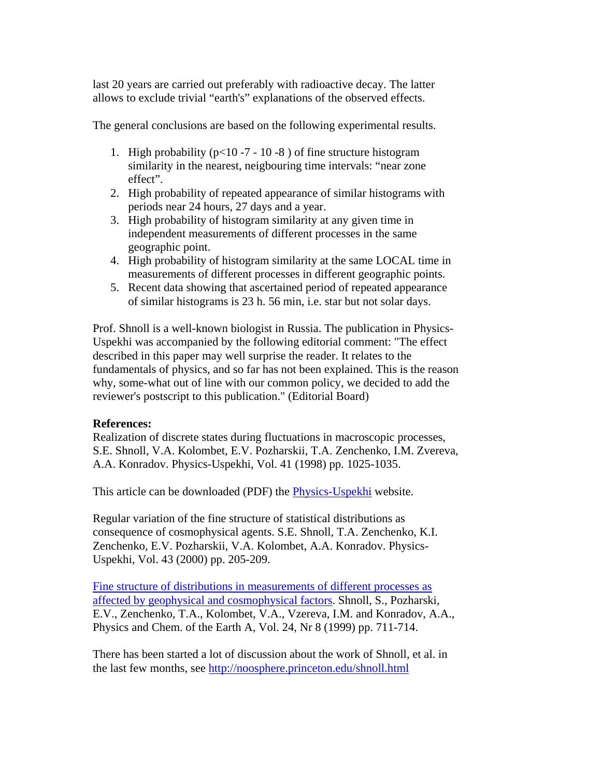last 20 years are carried out preferably with radioactive decay. The latter allows to exclude trivial "earth's" explanations of the observed effects.

The general conclusions are based on the following experimental results.

- 1. High probability ( $p<10-7-10-8$ ) of fine structure histogram similarity in the nearest, neigbouring time intervals: "near zone effect".
- 2. High probability of repeated appearance of similar histograms with periods near 24 hours, 27 days and a year.
- 3. High probability of histogram similarity at any given time in independent measurements of different processes in the same geographic point.
- 4. High probability of histogram similarity at the same LOCAL time in measurements of different processes in different geographic points.
- 5. Recent data showing that ascertained period of repeated appearance of similar histograms is 23 h. 56 min, i.e. star but not solar days.

Prof. Shnoll is a well-known biologist in Russia. The publication in Physics-Uspekhi was accompanied by the following editorial comment: "The effect described in this paper may well surprise the reader. It relates to the fundamentals of physics, and so far has not been explained. This is the reason why, some-what out of line with our common policy, we decided to add the reviewer's postscript to this publication." (Editorial Board)

# **References:**

Realization of discrete states during fluctuations in macroscopic processes, S.E. Shnoll, V.A. Kolombet, E.V. Pozharskii, T.A. Zenchenko, I.M. Zvereva, A.A. Konradov. Physics-Uspekhi, Vol. 41 (1998) pp. 1025-1035.

This article can be downloaded (PDF) the [Physics-Uspekhi](http://ufn.ioc.ac.ru:8200/abstracts/abst98/abst9810.html#d) website.

Regular variation of the fine structure of statistical distributions as consequence of cosmophysical agents. S.E. Shnoll, T.A. Zenchenko, K.I. Zenchenko, E.V. Pozharskii, V.A. Kolombet, A.A. Konradov. Physics-Uspekhi, Vol. 43 (2000) pp. 205-209.

[Fine structure of distributions in measurements of different processes as](http://www.mpae.gwdg.de/EGS/pce/part_a_vol_24_no8b.html)  [affected by geophysical and cosmophysical factors.](http://www.mpae.gwdg.de/EGS/pce/part_a_vol_24_no8b.html) Shnoll, S., Pozharski, E.V., Zenchenko, T.A., Kolombet, V.A., Vzereva, I.M. and Konradov, A.A., Physics and Chem. of the Earth A, Vol. 24, Nr 8 (1999) pp. 711-714.

There has been started a lot of discussion about the work of Shnoll, et al. in the last few months, see <http://noosphere.princeton.edu/shnoll.html>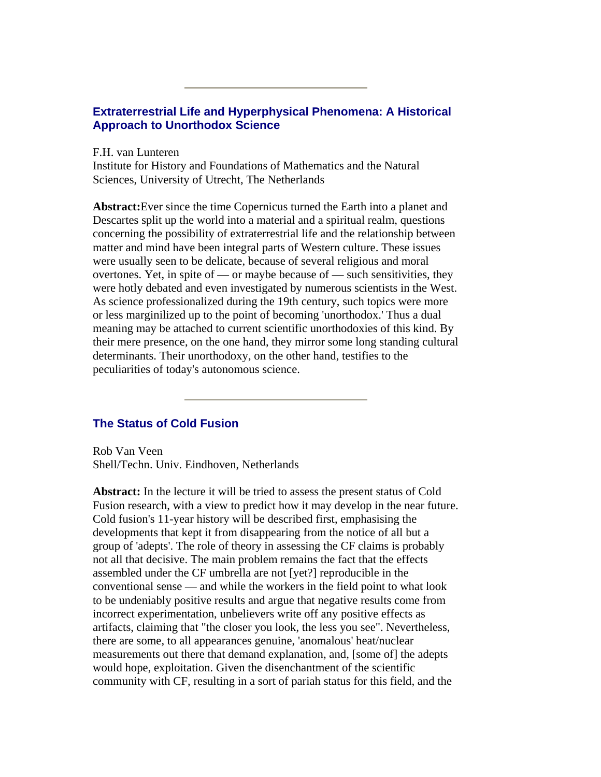# **Extraterrestrial Life and Hyperphysical Phenomena: A Historical Approach to Unorthodox Science**

F.H. van Lunteren

Institute for History and Foundations of Mathematics and the Natural Sciences, University of Utrecht, The Netherlands

**Abstract:**Ever since the time Copernicus turned the Earth into a planet and Descartes split up the world into a material and a spiritual realm, questions concerning the possibility of extraterrestrial life and the relationship between matter and mind have been integral parts of Western culture. These issues were usually seen to be delicate, because of several religious and moral overtones. Yet, in spite of — or maybe because of — such sensitivities, they were hotly debated and even investigated by numerous scientists in the West. As science professionalized during the 19th century, such topics were more or less marginilized up to the point of becoming 'unorthodox.' Thus a dual meaning may be attached to current scientific unorthodoxies of this kind. By their mere presence, on the one hand, they mirror some long standing cultural determinants. Their unorthodoxy, on the other hand, testifies to the peculiarities of today's autonomous science.

# **The Status of Cold Fusion**

Rob Van Veen Shell/Techn. Univ. Eindhoven, Netherlands

**Abstract:** In the lecture it will be tried to assess the present status of Cold Fusion research, with a view to predict how it may develop in the near future. Cold fusion's 11-year history will be described first, emphasising the developments that kept it from disappearing from the notice of all but a group of 'adepts'. The role of theory in assessing the CF claims is probably not all that decisive. The main problem remains the fact that the effects assembled under the CF umbrella are not [yet?] reproducible in the conventional sense — and while the workers in the field point to what look to be undeniably positive results and argue that negative results come from incorrect experimentation, unbelievers write off any positive effects as artifacts, claiming that "the closer you look, the less you see". Nevertheless, there are some, to all appearances genuine, 'anomalous' heat/nuclear measurements out there that demand explanation, and, [some of] the adepts would hope, exploitation. Given the disenchantment of the scientific community with CF, resulting in a sort of pariah status for this field, and the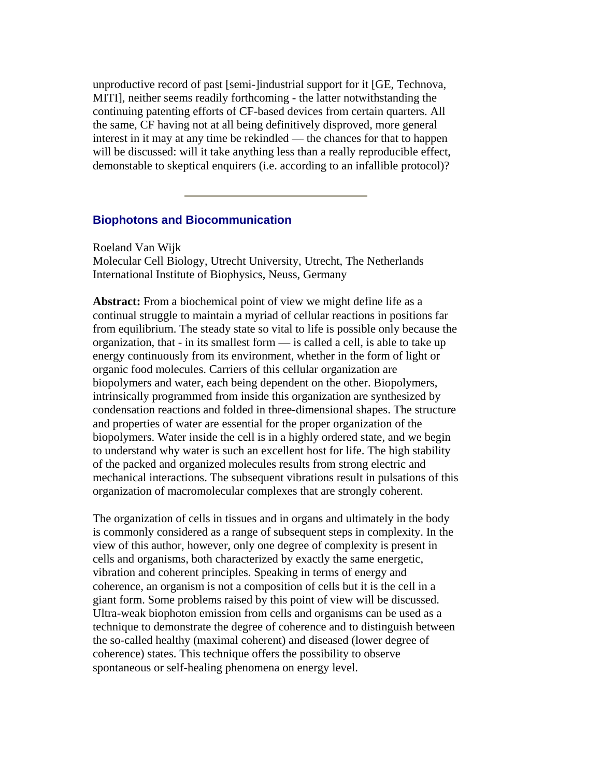unproductive record of past [semi-]industrial support for it [GE, Technova, MITI], neither seems readily forthcoming - the latter notwithstanding the continuing patenting efforts of CF-based devices from certain quarters. All the same, CF having not at all being definitively disproved, more general interest in it may at any time be rekindled — the chances for that to happen will be discussed: will it take anything less than a really reproducible effect, demonstable to skeptical enquirers (i.e. according to an infallible protocol)?

## **Biophotons and Biocommunication**

Roeland Van Wijk Molecular Cell Biology, Utrecht University, Utrecht, The Netherlands International Institute of Biophysics, Neuss, Germany

**Abstract:** From a biochemical point of view we might define life as a continual struggle to maintain a myriad of cellular reactions in positions far from equilibrium. The steady state so vital to life is possible only because the organization, that - in its smallest form — is called a cell, is able to take up energy continuously from its environment, whether in the form of light or organic food molecules. Carriers of this cellular organization are biopolymers and water, each being dependent on the other. Biopolymers, intrinsically programmed from inside this organization are synthesized by condensation reactions and folded in three-dimensional shapes. The structure and properties of water are essential for the proper organization of the biopolymers. Water inside the cell is in a highly ordered state, and we begin to understand why water is such an excellent host for life. The high stability of the packed and organized molecules results from strong electric and mechanical interactions. The subsequent vibrations result in pulsations of this organization of macromolecular complexes that are strongly coherent.

The organization of cells in tissues and in organs and ultimately in the body is commonly considered as a range of subsequent steps in complexity. In the view of this author, however, only one degree of complexity is present in cells and organisms, both characterized by exactly the same energetic, vibration and coherent principles. Speaking in terms of energy and coherence, an organism is not a composition of cells but it is the cell in a giant form. Some problems raised by this point of view will be discussed. Ultra-weak biophoton emission from cells and organisms can be used as a technique to demonstrate the degree of coherence and to distinguish between the so-called healthy (maximal coherent) and diseased (lower degree of coherence) states. This technique offers the possibility to observe spontaneous or self-healing phenomena on energy level.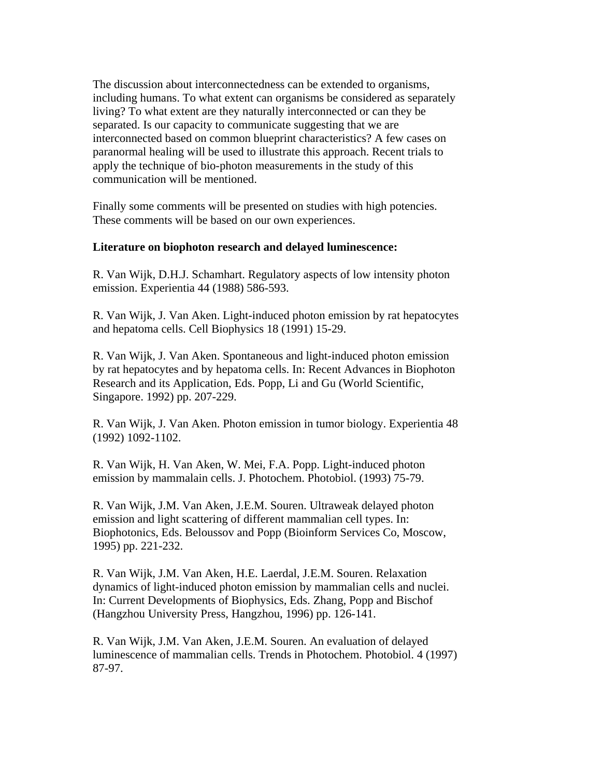The discussion about interconnectedness can be extended to organisms, including humans. To what extent can organisms be considered as separately living? To what extent are they naturally interconnected or can they be separated. Is our capacity to communicate suggesting that we are interconnected based on common blueprint characteristics? A few cases on paranormal healing will be used to illustrate this approach. Recent trials to apply the technique of bio-photon measurements in the study of this communication will be mentioned.

Finally some comments will be presented on studies with high potencies. These comments will be based on our own experiences.

## **Literature on biophoton research and delayed luminescence:**

R. Van Wijk, D.H.J. Schamhart. Regulatory aspects of low intensity photon emission. Experientia 44 (1988) 586-593.

R. Van Wijk, J. Van Aken. Light-induced photon emission by rat hepatocytes and hepatoma cells. Cell Biophysics 18 (1991) 15-29.

R. Van Wijk, J. Van Aken. Spontaneous and light-induced photon emission by rat hepatocytes and by hepatoma cells. In: Recent Advances in Biophoton Research and its Application, Eds. Popp, Li and Gu (World Scientific, Singapore. 1992) pp. 207-229.

R. Van Wijk, J. Van Aken. Photon emission in tumor biology. Experientia 48 (1992) 1092-1102.

R. Van Wijk, H. Van Aken, W. Mei, F.A. Popp. Light-induced photon emission by mammalain cells. J. Photochem. Photobiol. (1993) 75-79.

R. Van Wijk, J.M. Van Aken, J.E.M. Souren. Ultraweak delayed photon emission and light scattering of different mammalian cell types. In: Biophotonics, Eds. Beloussov and Popp (Bioinform Services Co, Moscow, 1995) pp. 221-232.

R. Van Wijk, J.M. Van Aken, H.E. Laerdal, J.E.M. Souren. Relaxation dynamics of light-induced photon emission by mammalian cells and nuclei. In: Current Developments of Biophysics, Eds. Zhang, Popp and Bischof (Hangzhou University Press, Hangzhou, 1996) pp. 126-141.

R. Van Wijk, J.M. Van Aken, J.E.M. Souren. An evaluation of delayed luminescence of mammalian cells. Trends in Photochem. Photobiol. 4 (1997) 87-97.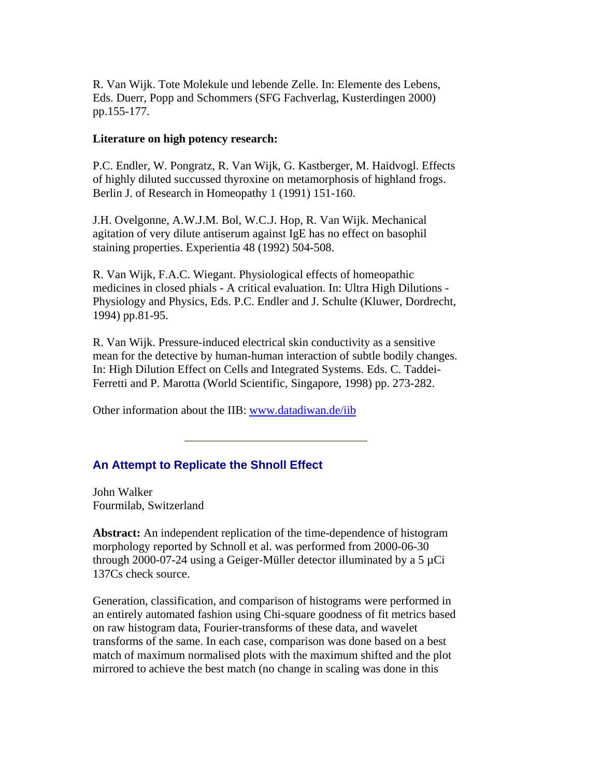R. Van Wijk. Tote Molekule und lebende Zelle. In: Elemente des Lebens, Eds. Duerr, Popp and Schommers (SFG Fachverlag, Kusterdingen 2000) pp.155-177.

### **Literature on high potency research:**

P.C. Endler, W. Pongratz, R. Van Wijk, G. Kastberger, M. Haidvogl. Effects of highly diluted succussed thyroxine on metamorphosis of highland frogs. Berlin J. of Research in Homeopathy 1 (1991) 151-160.

J.H. Ovelgonne, A.W.J.M. Bol, W.C.J. Hop, R. Van Wijk. Mechanical agitation of very dilute antiserum against IgE has no effect on basophil staining properties. Experientia 48 (1992) 504-508.

R. Van Wijk, F.A.C. Wiegant. Physiological effects of homeopathic medicines in closed phials - A critical evaluation. In: Ultra High Dilutions - Physiology and Physics, Eds. P.C. Endler and J. Schulte (Kluwer, Dordrecht, 1994) pp.81-95.

R. Van Wijk. Pressure-induced electrical skin conductivity as a sensitive mean for the detective by human-human interaction of subtle bodily changes. In: High Dilution Effect on Cells and Integrated Systems. Eds. C. Taddei-Ferretti and P. Marotta (World Scientific, Singapore, 1998) pp. 273-282.

Other information about the IIB: [www.datadiwan.de/iib](http://www.datadiwan.de/iib) 

# **An Attempt to Replicate the Shnoll Effect**

John Walker Fourmilab, Switzerland

**Abstract:** An independent replication of the time-dependence of histogram morphology reported by Schnoll et al. was performed from 2000-06-30 through 2000-07-24 using a Geiger-Müller detector illuminated by a  $5 \mu Ci$ 137Cs check source.

Generation, classification, and comparison of histograms were performed in an entirely automated fashion using Chi-square goodness of fit metrics based on raw histogram data, Fourier-transforms of these data, and wavelet transforms of the same. In each case, comparison was done based on a best match of maximum normalised plots with the maximum shifted and the plot mirrored to achieve the best match (no change in scaling was done in this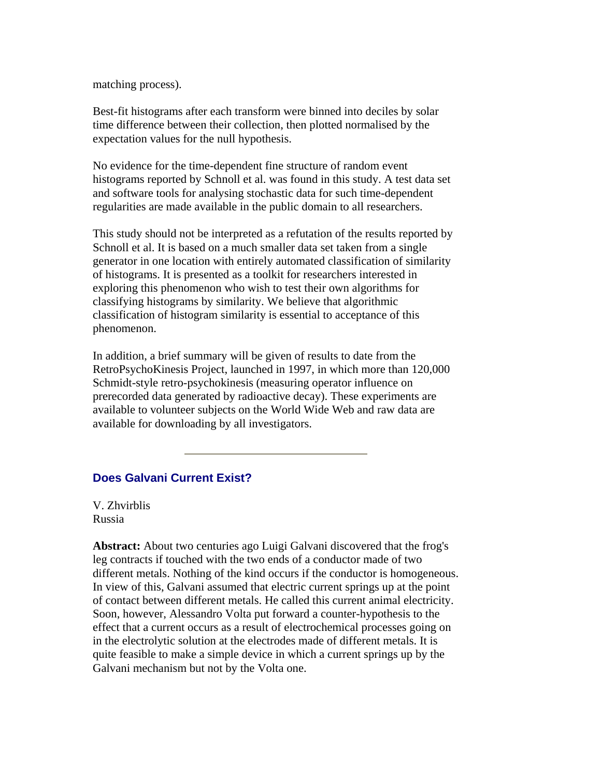matching process).

Best-fit histograms after each transform were binned into deciles by solar time difference between their collection, then plotted normalised by the expectation values for the null hypothesis.

No evidence for the time-dependent fine structure of random event histograms reported by Schnoll et al. was found in this study. A test data set and software tools for analysing stochastic data for such time-dependent regularities are made available in the public domain to all researchers.

This study should not be interpreted as a refutation of the results reported by Schnoll et al. It is based on a much smaller data set taken from a single generator in one location with entirely automated classification of similarity of histograms. It is presented as a toolkit for researchers interested in exploring this phenomenon who wish to test their own algorithms for classifying histograms by similarity. We believe that algorithmic classification of histogram similarity is essential to acceptance of this phenomenon.

In addition, a brief summary will be given of results to date from the RetroPsychoKinesis Project, launched in 1997, in which more than 120,000 Schmidt-style retro-psychokinesis (measuring operator influence on prerecorded data generated by radioactive decay). These experiments are available to volunteer subjects on the World Wide Web and raw data are available for downloading by all investigators.

# **Does Galvani Current Exist?**

V. Zhvirblis Russia

**Abstract:** About two centuries ago Luigi Galvani discovered that the frog's leg contracts if touched with the two ends of a conductor made of two different metals. Nothing of the kind occurs if the conductor is homogeneous. In view of this, Galvani assumed that electric current springs up at the point of contact between different metals. He called this current animal electricity. Soon, however, Alessandro Volta put forward a counter-hypothesis to the effect that a current occurs as a result of electrochemical processes going on in the electrolytic solution at the electrodes made of different metals. It is quite feasible to make a simple device in which a current springs up by the Galvani mechanism but not by the Volta one.